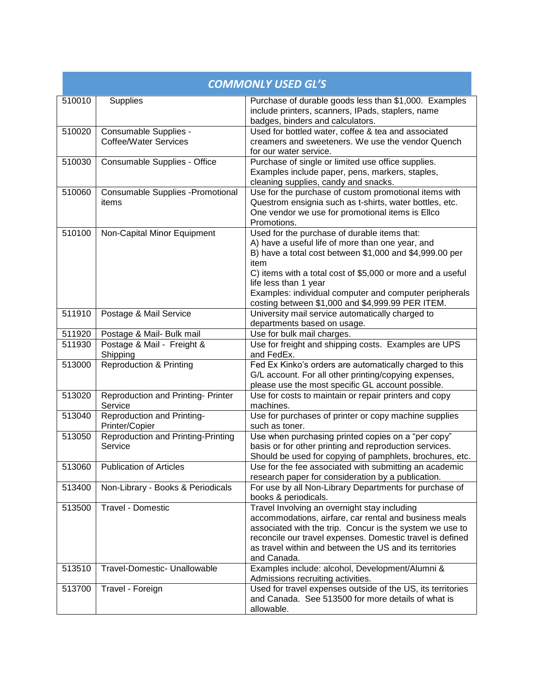| <b>COMMONLY USED GL'S</b> |                                                       |                                                                                                                                                                                                                                                                                                                                                                          |
|---------------------------|-------------------------------------------------------|--------------------------------------------------------------------------------------------------------------------------------------------------------------------------------------------------------------------------------------------------------------------------------------------------------------------------------------------------------------------------|
| 510010                    | Supplies                                              | Purchase of durable goods less than \$1,000. Examples<br>include printers, scanners, IPads, staplers, name<br>badges, binders and calculators.                                                                                                                                                                                                                           |
| 510020                    | Consumable Supplies -<br><b>Coffee/Water Services</b> | Used for bottled water, coffee & tea and associated<br>creamers and sweeteners. We use the vendor Quench<br>for our water service.                                                                                                                                                                                                                                       |
| 510030                    | Consumable Supplies - Office                          | Purchase of single or limited use office supplies.<br>Examples include paper, pens, markers, staples,<br>cleaning supplies, candy and snacks.                                                                                                                                                                                                                            |
| 510060                    | <b>Consumable Supplies - Promotional</b><br>items     | Use for the purchase of custom promotional items with<br>Questrom ensignia such as t-shirts, water bottles, etc.<br>One vendor we use for promotional items is Ellco<br>Promotions.                                                                                                                                                                                      |
| 510100                    | Non-Capital Minor Equipment                           | Used for the purchase of durable items that:<br>A) have a useful life of more than one year, and<br>B) have a total cost between \$1,000 and \$4,999.00 per<br>item<br>C) items with a total cost of \$5,000 or more and a useful<br>life less than 1 year<br>Examples: individual computer and computer peripherals<br>costing between \$1,000 and \$4,999.99 PER ITEM. |
| 511910                    | Postage & Mail Service                                | University mail service automatically charged to<br>departments based on usage.                                                                                                                                                                                                                                                                                          |
| 511920                    | Postage & Mail- Bulk mail                             | Use for bulk mail charges.                                                                                                                                                                                                                                                                                                                                               |
| 511930                    | Postage & Mail - Freight &<br>Shipping                | Use for freight and shipping costs. Examples are UPS<br>and FedEx.                                                                                                                                                                                                                                                                                                       |
| 513000                    | Reproduction & Printing                               | Fed Ex Kinko's orders are automatically charged to this<br>G/L account. For all other printing/copying expenses,<br>please use the most specific GL account possible.                                                                                                                                                                                                    |
| 513020                    | <b>Reproduction and Printing- Printer</b><br>Service  | Use for costs to maintain or repair printers and copy<br>machines.                                                                                                                                                                                                                                                                                                       |
| 513040                    | Reproduction and Printing-<br>Printer/Copier          | Use for purchases of printer or copy machine supplies<br>such as toner.                                                                                                                                                                                                                                                                                                  |
| 513050                    | <b>Reproduction and Printing-Printing</b><br>Service  | Use when purchasing printed copies on a "per copy"<br>basis or for other printing and reproduction services.<br>Should be used for copying of pamphlets, brochures, etc.                                                                                                                                                                                                 |
| 513060                    | <b>Publication of Articles</b>                        | Use for the fee associated with submitting an academic<br>research paper for consideration by a publication.                                                                                                                                                                                                                                                             |
| 513400                    | Non-Library - Books & Periodicals                     | For use by all Non-Library Departments for purchase of<br>books & periodicals.                                                                                                                                                                                                                                                                                           |
| 513500                    | Travel - Domestic                                     | Travel Involving an overnight stay including<br>accommodations, airfare, car rental and business meals<br>associated with the trip. Concur is the system we use to<br>reconcile our travel expenses. Domestic travel is defined<br>as travel within and between the US and its territories<br>and Canada.                                                                |
| 513510                    | Travel-Domestic- Unallowable                          | Examples include: alcohol, Development/Alumni &<br>Admissions recruiting activities.                                                                                                                                                                                                                                                                                     |
| 513700                    | Travel - Foreign                                      | Used for travel expenses outside of the US, its territories<br>and Canada. See 513500 for more details of what is<br>allowable.                                                                                                                                                                                                                                          |